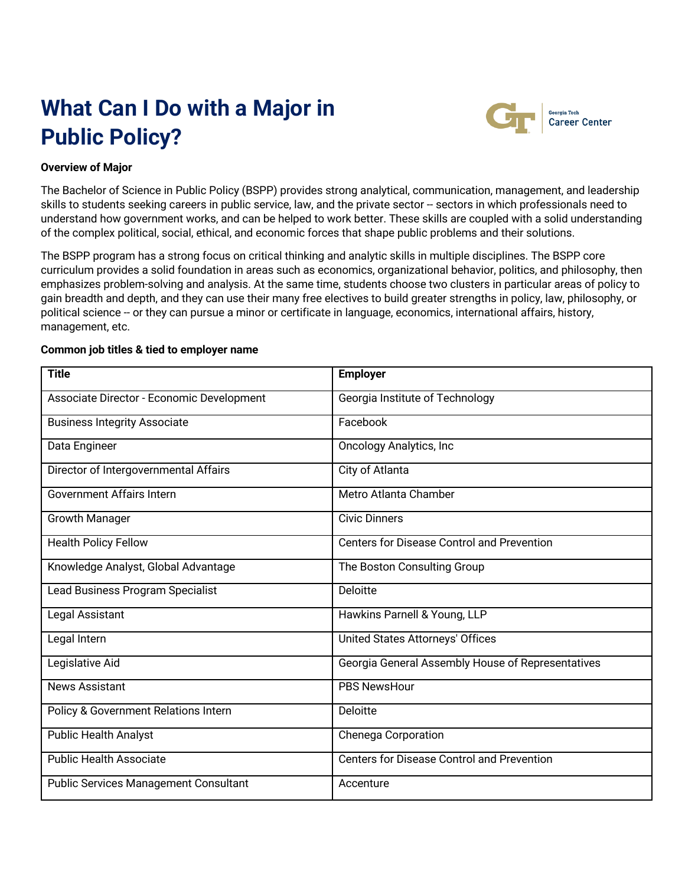# **What Can I Do with a Major in Public Policy?**



Georgia Tech<br>Career Center

### **Overview of Major**

The Bachelor of Science in Public Policy (BSPP) provides strong analytical, communication, management, and leadership skills to students seeking careers in public service, law, and the private sector -- sectors in which professionals need to understand how government works, and can be helped to work better. These skills are coupled with a solid understanding of the complex political, social, ethical, and economic forces that shape public problems and their solutions.

The BSPP program has a strong focus on critical thinking and analytic skills in multiple disciplines. The BSPP core curriculum provides a solid foundation in areas such as economics, organizational behavior, politics, and philosophy, then emphasizes problem-solving and analysis. At the same time, students choose two clusters in particular areas of policy to gain breadth and depth, and they can use their many free electives to build greater strengths in policy, law, philosophy, or political science -- or they can pursue a minor or certificate in language, economics, international affairs, history, management, etc.

#### **Common job titles & tied to employer name**

| <b>Title</b>                                 | <b>Employer</b>                                   |
|----------------------------------------------|---------------------------------------------------|
| Associate Director - Economic Development    | Georgia Institute of Technology                   |
| <b>Business Integrity Associate</b>          | Facebook                                          |
| Data Engineer                                | <b>Oncology Analytics, Inc.</b>                   |
| Director of Intergovernmental Affairs        | City of Atlanta                                   |
| <b>Government Affairs Intern</b>             | Metro Atlanta Chamber                             |
| <b>Growth Manager</b>                        | <b>Civic Dinners</b>                              |
| <b>Health Policy Fellow</b>                  | <b>Centers for Disease Control and Prevention</b> |
| Knowledge Analyst, Global Advantage          | The Boston Consulting Group                       |
| Lead Business Program Specialist             | Deloitte                                          |
| Legal Assistant                              | Hawkins Parnell & Young, LLP                      |
| Legal Intern                                 | <b>United States Attorneys' Offices</b>           |
| Legislative Aid                              | Georgia General Assembly House of Representatives |
| <b>News Assistant</b>                        | <b>PBS NewsHour</b>                               |
| Policy & Government Relations Intern         | Deloitte                                          |
| <b>Public Health Analyst</b>                 | <b>Chenega Corporation</b>                        |
| <b>Public Health Associate</b>               | <b>Centers for Disease Control and Prevention</b> |
| <b>Public Services Management Consultant</b> | Accenture                                         |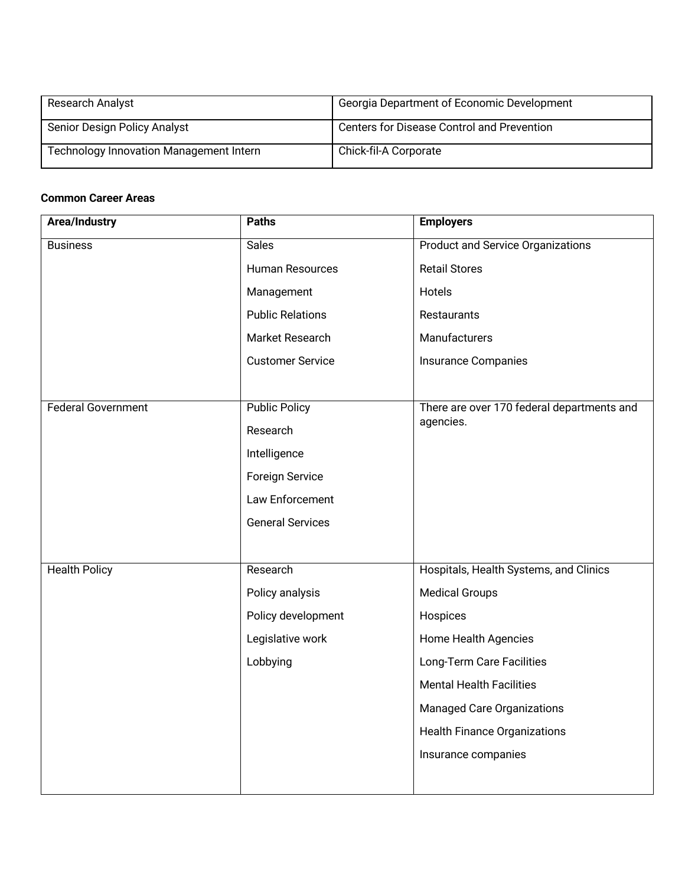| <b>Research Analyst</b>                        | Georgia Department of Economic Development |
|------------------------------------------------|--------------------------------------------|
| Senior Design Policy Analyst                   | Centers for Disease Control and Prevention |
| <b>Technology Innovation Management Intern</b> | Chick-fil-A Corporate                      |

# **Common Career Areas**

| <b>Area/Industry</b>      | <b>Paths</b>            | <b>Employers</b>                           |
|---------------------------|-------------------------|--------------------------------------------|
| <b>Business</b>           | <b>Sales</b>            | <b>Product and Service Organizations</b>   |
|                           | Human Resources         | <b>Retail Stores</b>                       |
|                           | Management              | Hotels                                     |
|                           | <b>Public Relations</b> | Restaurants                                |
|                           | Market Research         | Manufacturers                              |
|                           | <b>Customer Service</b> | <b>Insurance Companies</b>                 |
|                           |                         |                                            |
| <b>Federal Government</b> | <b>Public Policy</b>    | There are over 170 federal departments and |
|                           | Research                | agencies.                                  |
|                           | Intelligence            |                                            |
|                           | <b>Foreign Service</b>  |                                            |
|                           | Law Enforcement         |                                            |
|                           | <b>General Services</b> |                                            |
|                           |                         |                                            |
| <b>Health Policy</b>      | Research                | Hospitals, Health Systems, and Clinics     |
|                           | Policy analysis         | <b>Medical Groups</b>                      |
|                           | Policy development      | Hospices                                   |
|                           | Legislative work        | Home Health Agencies                       |
|                           | Lobbying                | Long-Term Care Facilities                  |
|                           |                         | <b>Mental Health Facilities</b>            |
|                           |                         | <b>Managed Care Organizations</b>          |
|                           |                         | <b>Health Finance Organizations</b>        |
|                           |                         | Insurance companies                        |
|                           |                         |                                            |
|                           |                         |                                            |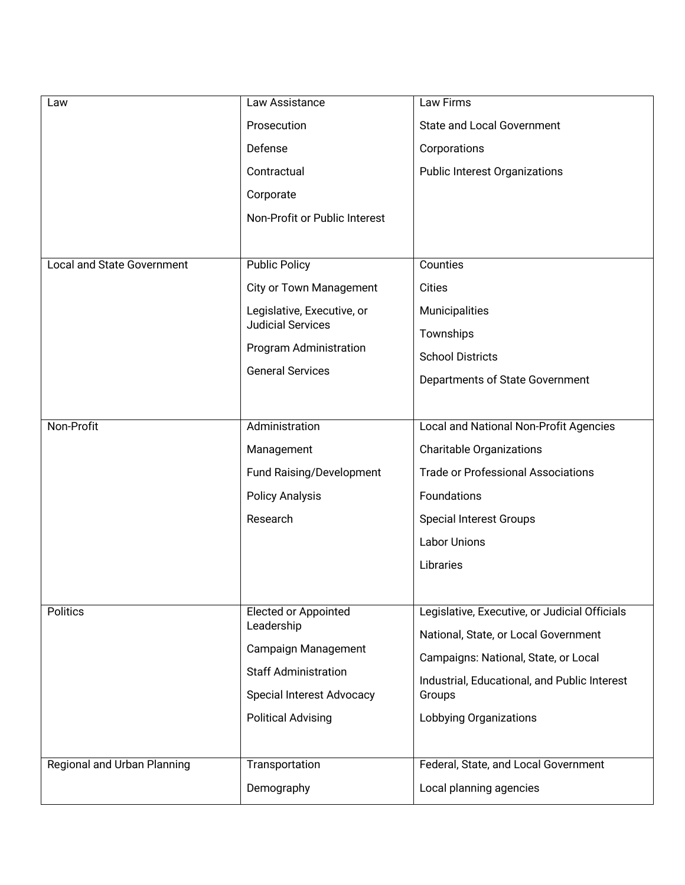| Law                               | Law Assistance                                                                   | Law Firms                                     |
|-----------------------------------|----------------------------------------------------------------------------------|-----------------------------------------------|
|                                   | Prosecution                                                                      | <b>State and Local Government</b>             |
|                                   | Defense                                                                          | Corporations                                  |
|                                   | Contractual                                                                      | <b>Public Interest Organizations</b>          |
|                                   | Corporate                                                                        |                                               |
|                                   | Non-Profit or Public Interest                                                    |                                               |
|                                   |                                                                                  |                                               |
| <b>Local and State Government</b> | <b>Public Policy</b>                                                             | Counties                                      |
|                                   | City or Town Management                                                          | <b>Cities</b>                                 |
|                                   | Legislative, Executive, or<br><b>Judicial Services</b><br>Program Administration | Municipalities                                |
|                                   |                                                                                  | Townships                                     |
|                                   |                                                                                  | <b>School Districts</b>                       |
|                                   | <b>General Services</b>                                                          | Departments of State Government               |
|                                   |                                                                                  |                                               |
| Non-Profit                        | Administration                                                                   | Local and National Non-Profit Agencies        |
|                                   | Management                                                                       | <b>Charitable Organizations</b>               |
|                                   | Fund Raising/Development                                                         | <b>Trade or Professional Associations</b>     |
|                                   | <b>Policy Analysis</b>                                                           | Foundations                                   |
|                                   | Research                                                                         | <b>Special Interest Groups</b>                |
|                                   |                                                                                  | <b>Labor Unions</b>                           |
|                                   |                                                                                  | Libraries                                     |
|                                   |                                                                                  |                                               |
| <b>Politics</b>                   | <b>Elected or Appointed</b>                                                      | Legislative, Executive, or Judicial Officials |
|                                   | Leadership<br>Campaign Management<br><b>Staff Administration</b>                 | National, State, or Local Government          |
|                                   |                                                                                  | Campaigns: National, State, or Local          |
|                                   |                                                                                  | Industrial, Educational, and Public Interest  |
|                                   | <b>Special Interest Advocacy</b>                                                 | Groups                                        |
|                                   | <b>Political Advising</b>                                                        | Lobbying Organizations                        |
|                                   |                                                                                  |                                               |
| Regional and Urban Planning       | Transportation                                                                   | Federal, State, and Local Government          |
|                                   | Demography                                                                       | Local planning agencies                       |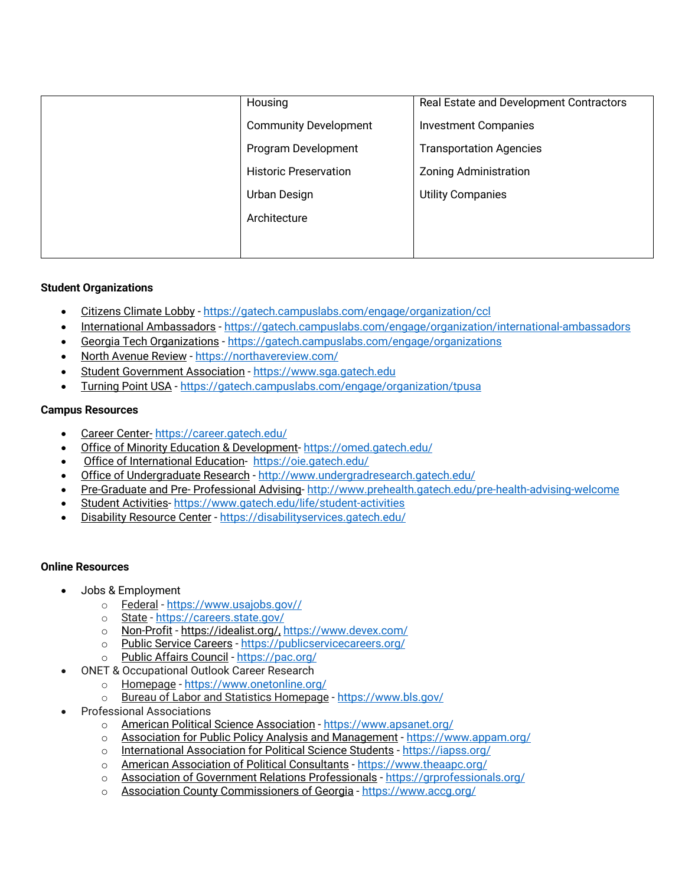| Housing                      | Real Estate and Development Contractors |
|------------------------------|-----------------------------------------|
| <b>Community Development</b> | <b>Investment Companies</b>             |
| Program Development          | <b>Transportation Agencies</b>          |
| <b>Historic Preservation</b> | <b>Zoning Administration</b>            |
| Urban Design                 | <b>Utility Companies</b>                |
| Architecture                 |                                         |
|                              |                                         |
|                              |                                         |

# **Student Organizations**

- Citizens Climate Lobby https://gatech.campuslabs.com/engage/organization/ccl
- International Ambassadors https://gatech.campuslabs.com/engage/organization/international-ambassadors
- Georgia Tech Organizations https://gatech.campuslabs.com/engage/organizations
- North Avenue Review https://northavereview.com/
- Student Government Association https://www.sga.gatech.edu
- Turning Point USA https://gatech.campuslabs.com/engage/organization/tpusa

#### **Campus Resources**

- Career Center- https://career.gatech.edu/
- Office of Minority Education & Development- https://omed.gatech.edu/
- Office of International Education- https://oie.gatech.edu/
- Office of Undergraduate Research http://www.undergradresearch.gatech.edu/
- Pre-Graduate and Pre- Professional Advising- http://www.prehealth.gatech.edu/pre-health-advising-welcome
- Student Activities- https://www.gatech.edu/life/student-activities
- Disability Resource Center https://disabilityservices.gatech.edu/

#### **Online Resources**

- Jobs & Employment
	- o Federal https://www.usajobs.gov//
	-
	- o State https://careers.state.gov/<br>o Non-Profit https://idealist.org/ h Non-Profit - https://idealist.org/, https://www.devex.com/
	- o Public Service Careers https://publicservicecareers.org/
	- o Public Affairs Council https://pac.org/
- ONET & Occupational Outlook Career Research
	- o Homepage https://www.onetonline.org/
	- o Bureau of Labor and Statistics Homepage https://www.bls.gov/
- Professional Associations
	- o American Political Science Association https://www.apsanet.org/
	- o Association for Public Policy Analysis and Management https://www.appam.org/
	- o International Association for Political Science Students https://iapss.org/
	- o American Association of Political Consultants https://www.theaapc.org/
	- o Association of Government Relations Professionals https://grprofessionals.org/
	- o Association County Commissioners of Georgia https://www.accg.org/